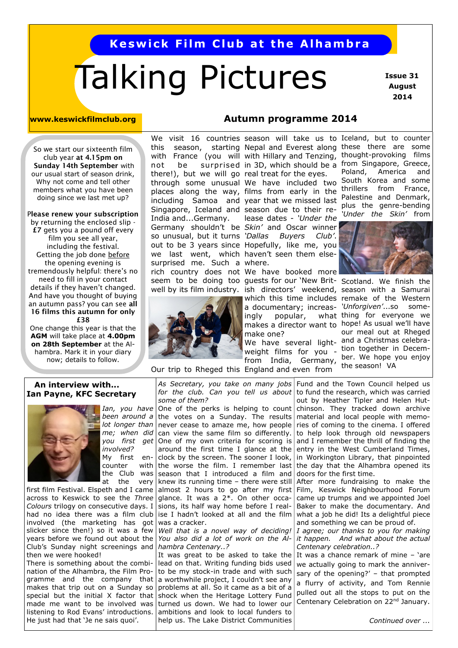## **Keswick Film Club at the Alhambra**

# Talking Pictures

 **Issue 31 August 2014**

#### **www.keswickfilmclub.org**

**Autumn programme 2014**

So we start our sixteenth film club year **at 4.15pm on Sunday 14th September** with our usual start of season drink, Why not come and tell other members what you have been doing since we last met up?

P**lease renew your subscription**  by returning the enclosed slip -

**£7** gets you a pound off every film you see all year, including the festival. Getting the job done before the opening evening is tremendously helpful: there's no need to fill in your contact details if they haven't changed. And have you thought of buying an autumn pass? you can see **all 16 films this autumn for only £38**

One change this year is that the **AGM** will take place at **4.00pm on 28th September** at the Alhambra. Mark it in your diary now; details to follow.

We visit 16 countries season will take us to Iceland, but to counter seem to be doing too guests for our 'New Brit- Scotland. We finish the there!), but we will go real treat for the eyes. Singapore, Iceland and season due to their re-Germany shouldn't be Skin' and Oscar winner out to be 3 years since Hopefully, like me, you we last went, which haven't seen them elsesurprised me. Such a where. rich country does not We have booked more India and...Germany. so unusual, but it turns 'Dallas



Our trip to Rheged this England and even from

this season, starting Nepal and Everest along these there are some with France (you will with Hillary and Tenzing, thought-provoking films not be surprised in 3D, which should be a from Singapore, Greece, Poland, America and through some unusual We have included two South Korea and some places along the way, films from early in the thrillers from France, including Samoa and year that we missed last Palestine and Denmark, plus the genre-bending *'Under the Skin'* from lease dates - *'Under the* 



well by its film industry. ish directors' weekend, season with a Samurai which this time includes remake of the Western a documentary; increas- 'Unforgiven'...so someingly popular, what thing for everyone we makes a director want to hope! As usual we'll have our meal out at Rheged We have several light- and a Christmas celebraweight films for you - tion together in December. We hope you enjoy from India, Germany,  $\frac{\partial u}{\partial t}$ , we nope

#### **An interview with... Ian Payne, KFC Secretary**



*you first get involved?*  My first encounter the Club was at the very

*Colours* trilogy on consecutive days. I had no idea there was a film club involved (the marketing has got slicker since then!) so it was a few years before we found out about the Club's Sunday night screenings and then we were hooked!

There is something about the combination of the Alhambra, the Film Programme and the company that makes that trip out on a Sunday so special but the initial X factor that made me want to be involved was listening to Rod Evans' introductions. He just had that 'Je ne sais quoi'.

*some of them?*

been around a the votes on a Sunday. The results lot longer than never cease to amaze me, how people *me; when did*  can view the same film so differently. first film Festival. Elspeth and I came | almost 2 hours to go after my first across to Keswick to see the *Three*  glance. It was a 2\*. On other occa-One of my own criteria for scoring is around the first time I glance at the clock by the screen. The sooner I look, with the worse the film. I remember last season that I introduced a film and knew its running time – there were still sions, its half way home before I realise I hadn't looked at all and the film was a cracker.

> *Well that is a novel way of deciding! hambra Centenary..?*

> It was great to be asked to take the lead on that. Writing funding bids used to be my stock-in trade and with such a worthwhile project, I couldn't see any problems at all. So it came as a bit of a shock when the Heritage Lottery Fund turned us down. We had to lower our ambitions and look to local funders to help us. The Lake District Communities

Ian, you have One of the perks is helping to count chinson. They tracked down archive *As Secretary, you take on many jobs*  Fund and the Town Council helped us for the club. Can you tell us about to fund the research, which was carried out by Heather Tipler and Helen Hutmaterial and local people with memories of coming to the cinema. I offered to help look through old newspapers and I remember the thrill of finding the entry in the West Cumberland Times, in Workington Library, that pinpointed the day that the Alhambra opened its doors for the first time.

After more fundraising to make the Film, Keswick Neighbourhood Forum came up trumps and we appointed Joel Baker to make the documentary. And what a job he did! Its a delightful piece and something we can be proud of.

*You also did a lot of work on the Al-it happen. And what about the actual I agree; our thanks to you for making Centenary celebration..?*

> It was a chance remark of mine – 'are we actually going to mark the anniversary of the opening?' – that prompted a flurry of activity, and Tom Rennie pulled out all the stops to put on the Centenary Celebration on 22<sup>nd</sup> January.